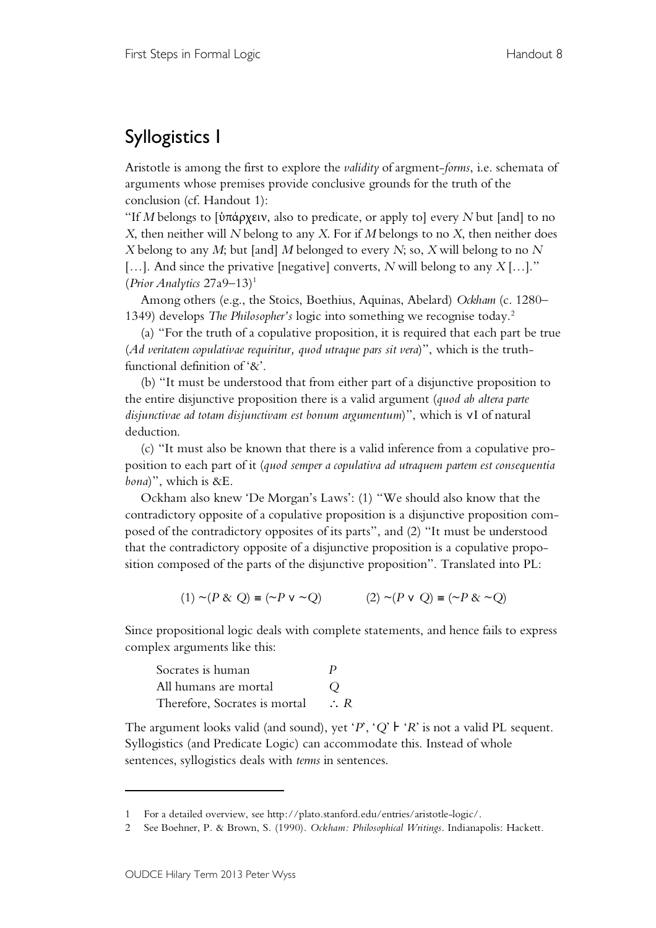## Syllogistics I

Aristotle is among the first to explore the *validity* of argment-*forms*, i.e. schemata of arguments whose premises provide conclusive grounds for the truth of the conclusion (cf. Handout 1):

"If *M* belongs to [ὑπάρχειν, also to predicate, or apply to] every *N* but [and] to no *X*, then neither will *N* belong to any *X*. For if *M* belongs to no *X*, then neither does *X* belong to any *M*; but [and] *M* belonged to every *N*; so, *X* will belong to no *N* […]. And since the privative [negative] converts, *N* will belong to any *X* […]." (*Prior Analytics* 27a9–13) 1

Among others (e.g., the Stoics, Boethius, Aquinas, Abelard) *Ockham* (c. 1280– 1349) develops *The Philosopher's* logic into something we recognise today. 2

(a) "For the truth of a copulative proposition, it is required that each part be true (*Ad veritatem copulativae requiritur, quod utraque pars sit vera*)", which is the truthfunctional definition of '&'.

(b) "It must be understood that from either part of a disjunctive proposition to the entire disjunctive proposition there is a valid argument (*quod ab altera parte disjunctivae ad totam disjunctivam est bonum argumentum*)", which is ∨I of natural deduction.

(c) "It must also be known that there is a valid inference from a copulative proposition to each part of it (*quod semper a copulativa ad utraquem partem est consequentia bona*)", which is &E.

Ockham also knew 'De Morgan's Laws': (1) "We should also know that the contradictory opposite of a copulative proposition is a disjunctive proposition composed of the contradictory opposites of its parts", and (2) "It must be understood that the contradictory opposite of a disjunctive proposition is a copulative proposition composed of the parts of the disjunctive proposition". Translated into PL:

(1)  $∼(P & Q) ≡ (∼P ∨ √Q)$  (2)  $∼(P ∨ Q) ≡ (∼P & ∞Q)$ 

Since propositional logic deals with complete statements, and hence fails to express complex arguments like this:

| Socrates is human             | P              |
|-------------------------------|----------------|
| All humans are mortal         | $\Omega$       |
| Therefore, Socrates is mortal | $\therefore R$ |

The argument looks valid (and sound), yet ' $P'$ , ' $Q'$   $\vdash$  ' $R'$  is not a valid PL sequent. Syllogistics (and Predicate Logic) can accommodate this. Instead of whole sentences, syllogistics deals with *terms* in sentences.

 $\overline{a}$ 

<sup>1</sup> For a detailed overview, see http://plato.stanford.edu/entries/aristotle-logic/.

<sup>2</sup> See Boehner, P. & Brown, S. (1990). *Ockham: Philosophical Writings*. Indianapolis: Hackett.